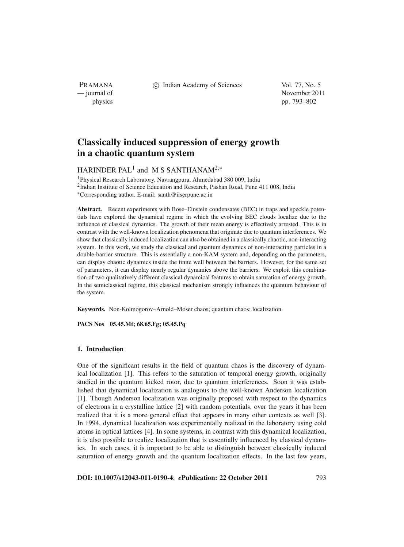PRAMANA

c Indian Academy of Sciences Vol. 77, No. 5

— journal of November 2011 physics pp. 793–802

# **Classically induced suppression of energy growth in a chaotic quantum system**

## HARINDER PAL<sup>1</sup> and M S SANTHANAM<sup>2,\*</sup>

1Physical Research Laboratory, Navrangpura, Ahmedabad 380 009, India 2Indian Institute of Science Education and Research, Pashan Road, Pune 411 008, India <sup>∗</sup>Corresponding author. E-mail: santh@iiserpune.ac.in

**Abstract.** Recent experiments with Bose–Einstein condensates (BEC) in traps and speckle potentials have explored the dynamical regime in which the evolving BEC clouds localize due to the influence of classical dynamics. The growth of their mean energy is effectively arrested. This is in contrast with the well-known localization phenomena that originate due to quantum interferences. We show that classically induced localization can also be obtained in a classically chaotic, non-interacting system. In this work, we study the classical and quantum dynamics of non-interacting particles in a double-barrier structure. This is essentially a non-KAM system and, depending on the parameters, can display chaotic dynamics inside the finite well between the barriers. However, for the same set of parameters, it can display nearly regular dynamics above the barriers. We exploit this combination of two qualitatively different classical dynamical features to obtain saturation of energy growth. In the semiclassical regime, this classical mechanism strongly influences the quantum behaviour of the system.

**Keywords.** Non-Kolmogorov–Arnold–Moser chaos; quantum chaos; localization.

**PACS Nos 05.45.Mt; 68.65.Fg; 05.45.Pq**

## **1. Introduction**

One of the significant results in the field of quantum chaos is the discovery of dynamical localization [1]. This refers to the saturation of temporal energy growth, originally studied in the quantum kicked rotor, due to quantum interferences. Soon it was established that dynamical localization is analogous to the well-known Anderson localization [1]. Though Anderson localization was originally proposed with respect to the dynamics of electrons in a crystalline lattice [2] with random potentials, over the years it has been realized that it is a more general effect that appears in many other contexts as well [3]. In 1994, dynamical localization was experimentally realized in the laboratory using cold atoms in optical lattices [4]. In some systems, in contrast with this dynamical localization, it is also possible to realize localization that is essentially influenced by classical dynamics. In such cases, it is important to be able to distinguish between classically induced saturation of energy growth and the quantum localization effects. In the last few years,

**DOI: 10.1007/s12043-011-0190-4**; *e***Publication: 22 October 2011** 793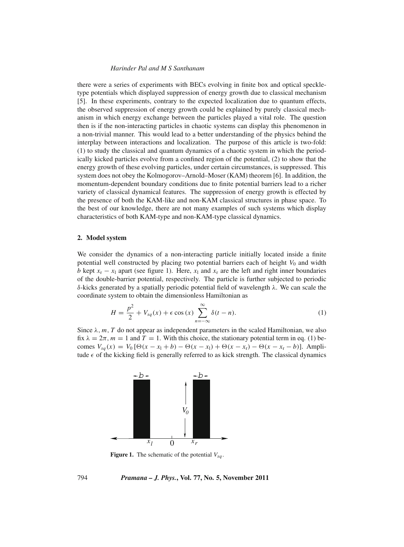### *Harinder Pal and M S Santhanam*

there were a series of experiments with BECs evolving in finite box and optical speckletype potentials which displayed suppression of energy growth due to classical mechanism [5]. In these experiments, contrary to the expected localization due to quantum effects, the observed suppression of energy growth could be explained by purely classical mechanism in which energy exchange between the particles played a vital role. The question then is if the non-interacting particles in chaotic systems can display this phenomenon in a non-trivial manner. This would lead to a better understanding of the physics behind the interplay between interactions and localization. The purpose of this article is two-fold: (1) to study the classical and quantum dynamics of a chaotic system in which the periodically kicked particles evolve from a confined region of the potential, (2) to show that the energy growth of these evolving particles, under certain circumstances, is suppressed. This system does not obey the Kolmogorov–Arnold–Moser (KAM) theorem [6]. In addition, the momentum-dependent boundary conditions due to finite potential barriers lead to a richer variety of classical dynamical features. The suppression of energy growth is effected by the presence of both the KAM-like and non-KAM classical structures in phase space. To the best of our knowledge, there are not many examples of such systems which display characteristics of both KAM-type and non-KAM-type classical dynamics.

#### **2. Model system**

We consider the dynamics of a non-interacting particle initially located inside a finite potential well constructed by placing two potential barriers each of height *V*<sup>0</sup> and width *b* kept  $x_r - x_l$  apart (see figure 1). Here,  $x_l$  and  $x_r$  are the left and right inner boundaries of the double-barrier potential, respectively. The particle is further subjected to periodic δ-kicks generated by a spatially periodic potential field of wavelength λ. We can scale the coordinate system to obtain the dimensionless Hamiltonian as

$$
H = \frac{p^2}{2} + V_{sq}(x) + \epsilon \cos(x) \sum_{n=-\infty}^{\infty} \delta(t - n).
$$
 (1)

Since  $\lambda$ ,  $m$ ,  $T$  do not appear as independent parameters in the scaled Hamiltonian, we also fix  $\lambda = 2\pi$ ,  $m = 1$  and  $T = 1$ . With this choice, the stationary potential term in eq. (1) becomes  $V_{sq}(x) = V_0 [\Theta(x - x_1 + b) - \Theta(x - x_1) + \Theta(x - x_1) - \Theta(x - x_1 - b)].$  Amplitude  $\epsilon$  of the kicking field is generally referred to as kick strength. The classical dynamics



**Figure 1.** The schematic of the potential  $V_{sg}$ .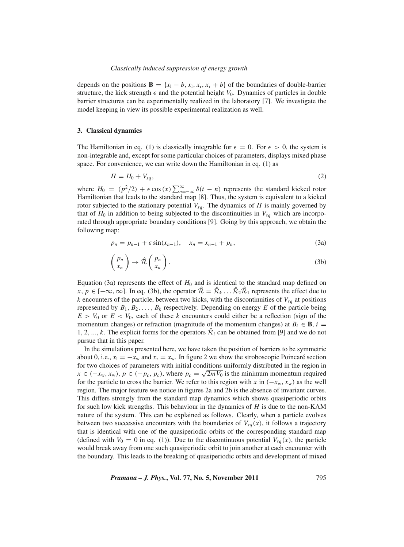#### *Classically induced suppression of energy growth*

depends on the positions  $\mathbf{B} = \{x_1 - b, x_1, x_r, x_r + b\}$  of the boundaries of double-barrier structure, the kick strength  $\epsilon$  and the potential height  $V_0$ . Dynamics of particles in double barrier structures can be experimentally realized in the laboratory [7]. We investigate the model keeping in view its possible experimental realization as well.

#### **3. Classical dynamics**

The Hamiltonian in eq. (1) is classically integrable for  $\epsilon = 0$ . For  $\epsilon > 0$ , the system is non-integrable and, except for some particular choices of parameters, displays mixed phase space. For convenience, we can write down the Hamiltonian in eq. (1) as

$$
H = H_0 + V_{sq},\tag{2}
$$

where  $H_0 = (p^2/2) + \epsilon \cos(x) \sum_{n=-\infty}^{\infty} \delta(t - n)$  represents the standard kicked rotor Hamiltonian that leads to the standard map [8]. Thus, the system is equivalent to a kicked rotor subjected to the stationary potential  $V_{sg}$ . The dynamics of *H* is mainly governed by that of  $H_0$  in addition to being subjected to the discontinuities in  $V_{sq}$  which are incorporated through appropriate boundary conditions [9]. Going by this approach, we obtain the following map:

$$
p_n = p_{n-1} + \epsilon \sin(x_{n-1}), \quad x_n = x_{n-1} + p_n,
$$
\n(3a)

$$
\begin{pmatrix} p_n \\ x_n \end{pmatrix} \to \hat{\mathcal{R}} \begin{pmatrix} p_n \\ x_n \end{pmatrix} . \tag{3b}
$$

Equation (3a) represents the effect of  $H_0$  and is identical to the standard map defined on *x*, *p* ∈ [−∞, ∞]. In eq. (3b), the operator  $\hat{\mathcal{R}} = \hat{\mathcal{R}}_k \dots \hat{\mathcal{R}}_2 \hat{\mathcal{R}}_1$  represents the effect due to  $k$  encounters of the particle, between two kicks, with the discontinuities of  $V_{sq}$  at positions represented by  $B_1, B_2, \ldots, B_k$  respectively. Depending on energy *E* of the particle being  $E > V_0$  or  $E < V_0$ , each of these *k* encounters could either be a reflection (sign of the momentum changes) or refraction (magnitude of the momentum changes) at  $B_i \in \mathbf{B}$ ,  $i =$ 1, 2, ..., *k*. The explicit forms for the operators  $\mathcal{R}_i$  can be obtained from [9] and we do not pursue that in this paper.

In the simulations presented here, we have taken the position of barriers to be symmetric about 0, i.e.,  $x_1 = -x_w$  and  $x_r = x_w$ . In figure 2 we show the stroboscopic Poincaré section for two choices of parameters with initial conditions uniformly distributed in the region in  $x \in (-x_w, x_w)$ ,  $p \in (-p_c, p_c)$ , where  $p_c = \sqrt{2mV_0}$  is the minimum momentum required for the particle to cross the barrier. We refer to this region with *x* in  $(-x_w, x_w)$  as the well region. The major feature we notice in figures 2a and 2b is the absence of invariant curves. This differs strongly from the standard map dynamics which shows quasiperiodic orbits for such low kick strengths. This behaviour in the dynamics of *H* is due to the non-KAM nature of the system. This can be explained as follows. Clearly, when a particle evolves between two successive encounters with the boundaries of  $V_{sa}(x)$ , it follows a trajectory that is identical with one of the quasiperiodic orbits of the corresponding standard map (defined with  $V_0 = 0$  in eq. (1)). Due to the discontinuous potential  $V_{sg}(x)$ , the particle would break away from one such quasiperiodic orbit to join another at each encounter with the boundary. This leads to the breaking of quasiperiodic orbits and development of mixed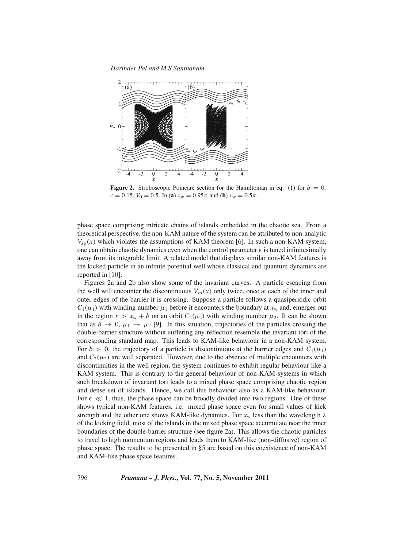*Harinder Pal and M S Santhanam*



**Figure 2.** Stroboscopic Poincaré section for the Hamiltonian in eq. (1) for  $b = 0$ ,  $\epsilon = 0.15$ ,  $V_0 = 0.5$ . In (**a**)  $x_w = 0.95\pi$  and (**b**)  $x_w = 0.5\pi$ .

phase space comprising intricate chains of islands embedded in the chaotic sea. From a theoretical perspective, the non-KAM nature of the system can be attributed to non-analytic  $V_{sg}(x)$  which violates the assumptions of KAM theorem [6]. In such a non-KAM system, one can obtain chaotic dynamics even when the control parameter  $\epsilon$  is tuned infinitesimally away from its integrable limit. A related model that displays similar non-KAM features is the kicked particle in an infinite potential well whose classical and quantum dynamics are reported in [10].

Figures 2a and 2b also show some of the invariant curves. A particle escaping from the well will encounter the discontinuous  $V_{sq}(x)$  only twice, once at each of the inner and outer edges of the barrier it is crossing. Suppose a particle follows a quasiperiodic orbit  $C_1(\mu_1)$  with winding number  $\mu_1$  before it encounters the boundary at  $x_w$  and, emerges out in the region  $x > x_w + b$  on an orbit  $C_2(\mu_2)$  with winding number  $\mu_2$ . It can be shown that as  $b \to 0$ ,  $\mu_1 \to \mu_2$  [9]. In this situation, trajectories of the particles crossing the double-barrier structure without suffering any reflection resemble the invariant tori of the corresponding standard map. This leads to KAM-like behaviour in a non-KAM system. For  $b > 0$ , the trajectory of a particle is discontinuous at the barrier edges and  $C_1(\mu_1)$ and  $C_2(\mu_2)$  are well separated. However, due to the absence of multiple encounters with discontinuities in the well region, the system continues to exhibit regular behaviour like a KAM system. This is contrary to the general behaviour of non-KAM systems in which such breakdown of invariant tori leads to a mixed phase space comprising chaotic region and dense set of islands. Hence, we call this behaviour also as a KAM-like behaviour. For  $\epsilon \ll 1$ , thus, the phase space can be broadly divided into two regions. One of these shows typical non-KAM features, i.e. mixed phase space even for small values of kick strength and the other one shows KAM-like dynamics. For  $x_w$  less than the wavelength  $\lambda$ of the kicking field, most of the islands in the mixed phase space accumulate near the inner boundaries of the double-barrier structure (see figure 2a). This allows the chaotic particles to travel to high momentum regions and leads them to KAM-like (non-diffusive) region of phase space. The results to be presented in §5 are based on this coexistence of non-KAM and KAM-like phase space features.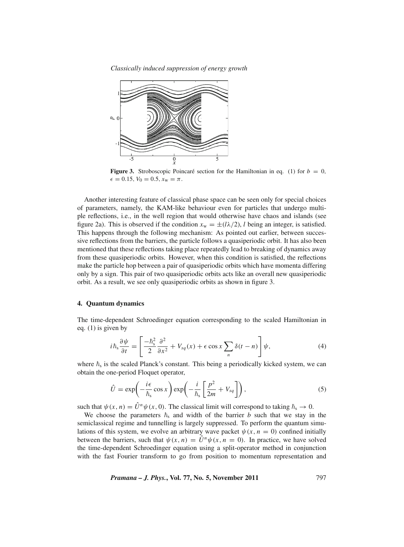*Classically induced suppression of energy growth*



**Figure 3.** Stroboscopic Poincaré section for the Hamiltonian in eq. (1) for  $b = 0$ ,  $\epsilon = 0.15, V_0 = 0.5, x_w = \pi$ .

Another interesting feature of classical phase space can be seen only for special choices of parameters, namely, the KAM-like behaviour even for particles that undergo multiple reflections, i.e., in the well region that would otherwise have chaos and islands (see figure 2a). This is observed if the condition  $x_w = \pm (l\lambda/2)$ , *l* being an integer, is satisfied. This happens through the following mechanism: As pointed out earlier, between successive reflections from the barriers, the particle follows a quasiperiodic orbit. It has also been mentioned that these reflections taking place repeatedly lead to breaking of dynamics away from these quasiperiodic orbits. However, when this condition is satisfied, the reflections make the particle hop between a pair of quasiperiodic orbits which have momenta differing only by a sign. This pair of two quasiperiodic orbits acts like an overall new quasiperiodic orbit. As a result, we see only quasiperiodic orbits as shown in figure 3.

## **4. Quantum dynamics**

The time-dependent Schroedinger equation corresponding to the scaled Hamiltonian in eq. (1) is given by

$$
i\hbar_s \frac{\partial \psi}{\partial t} = \left[ \frac{-\hbar_s^2}{2} \frac{\partial^2}{\partial x^2} + V_{sq}(x) + \epsilon \cos x \sum_n \delta(t - n) \right] \psi, \tag{4}
$$

where  $\hbar_s$  is the scaled Planck's constant. This being a periodically kicked system, we can obtain the one-period Floquet operator,

$$
\hat{U} = \exp\left(-\frac{i\epsilon}{\hbar_{\rm s}}\cos x\right)\exp\left(-\frac{i}{\hbar_{\rm s}}\left[\frac{p^2}{2m} + V_{sq}\right]\right),\tag{5}
$$

such that  $\psi(x, n) = \hat{U}^n \psi(x, 0)$ . The classical limit will correspond to taking  $\hbar_s \to 0$ .

We choose the parameters  $\hbar$ <sub>s</sub> and width of the barrier *b* such that we stay in the semiclassical regime and tunnelling is largely suppressed. To perform the quantum simulations of this system, we evolve an arbitrary wave packet  $\psi(x, n = 0)$  confined initially between the barriers, such that  $\psi(x, n) = \hat{U}^n \psi(x, n = 0)$ . In practice, we have solved the time-dependent Schroedinger equation using a split-operator method in conjunction with the fast Fourier transform to go from position to momentum representation and

*Pramana – J. Phys.***, Vol. 77, No. 5, November 2011** 797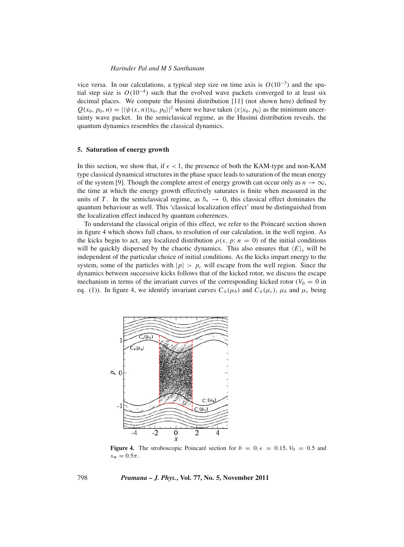### *Harinder Pal and M S Santhanam*

vice versa. In our calculations, a typical step size on time axis is *O*(10−3) and the spatial step size is  $O(10^{-4})$  such that the evolved wave packets converged to at least six decimal places. We compute the Husimi distribution [11] (not shown here) defined by  $Q(x_0, p_0, n) = |\langle \psi(x, n) | x_0, p_0 \rangle|^2$  where we have taken  $\langle x | x_0, p_0 \rangle$  as the minimum uncertainty wave packet. In the semiclassical regime, as the Husimi distribution reveals, the quantum dynamics resembles the classical dynamics.

#### **5. Saturation of energy growth**

In this section, we show that, if  $\epsilon$  < 1, the presence of both the KAM-type and non-KAM type classical dynamical structures in the phase space leads to saturation of the mean energy of the system [9]. Though the complete arrest of energy growth can occur only as  $n \to \infty$ , the time at which the energy growth effectively saturates is finite when measured in the units of *T*. In the semiclassical regime, as  $\hbar$ <sub>s</sub>  $\rightarrow$  0, this classical effect dominates the quantum behaviour as well. This 'classical localization effect' must be distinguished from the localization effect induced by quantum coherences.

To understand the classical origin of this effect, we refer to the Poincaré section shown in figure 4 which shows full chaos, to resolution of our calculation, in the well region. As the kicks begin to act, any localized distribution  $\rho(x, p; n = 0)$  of the initial conditions will be quickly dispersed by the chaotic dynamics. This also ensures that  $\langle E \rangle_s$  will be independent of the particular choice of initial conditions. As the kicks impart energy to the system, some of the particles with  $|p| > p_c$  will escape from the well region. Since the dynamics between successive kicks follows that of the kicked rotor, we discuss the escape mechanism in terms of the invariant curves of the corresponding kicked rotor ( $V_0 = 0$  in eq. (1)). In figure 4, we identify invariant curves  $C_{\pm}(\mu_b)$  and  $C_{\pm}(\mu_c)$ ,  $\mu_b$  and  $\mu_c$  being



**Figure 4.** The stroboscopic Poincaré section for  $b = 0, \epsilon = 0.15, V_0 = 0.5$  and  $x_{\rm w} = 0.5\pi$ .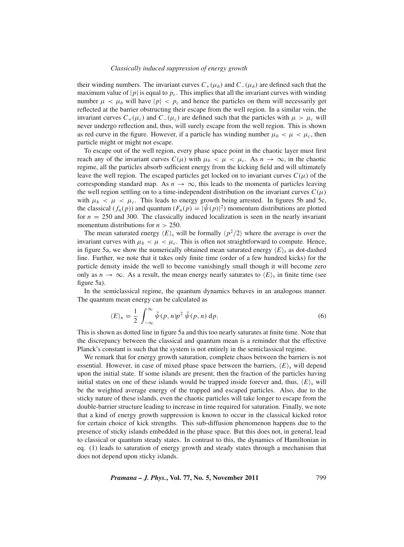#### *Classically induced suppression of energy growth*

their winding numbers. The invariant curves  $C_+(\mu_b)$  and  $C_-(\mu_b)$  are defined such that the maximum value of  $|p|$  is equal to  $p_c$ . This implies that all the invariant curves with winding number  $\mu < \mu_b$  will have  $|p| < p_c$  and hence the particles on them will necessarily get reflected at the barrier obstructing their escape from the well region. In a similar vein, the invariant curves  $C_+(\mu_c)$  and  $C_-(\mu_c)$  are defined such that the particles with  $\mu > \mu_c$  will never undergo reflection and, thus, will surely escape from the well region. This is shown as red curve in the figure. However, if a particle has winding number  $\mu_b < \mu < \mu_c$ , then particle might or might not escape.

To escape out of the well region, every phase space point in the chaotic layer must first reach any of the invariant curves  $C(\mu)$  with  $\mu_b < \mu < \mu_c$ . As  $n \to \infty$ , in the chaotic regime, all the particles absorb sufficient energy from the kicking field and will ultimately leave the well region. The escaped particles get locked on to invariant curves  $C(\mu)$  of the corresponding standard map. As  $n \to \infty$ , this leads to the momenta of particles leaving the well region settling on to a time-independent distribution on the invariant curves  $C(\mu)$ with  $\mu_b < \mu < \mu_c$ . This leads to energy growth being arrested. In figures 5b and 5c, the classical  $(f_n(p))$  and quantum  $(F_n(p) = |\tilde{\psi}(p)|^2)$  momentum distributions are plotted for  $n = 250$  and 300. The classically induced localization is seen in the nearly invariant momentum distributions for  $n > 250$ .

The mean saturated energy  $\langle E \rangle$ <sub>s</sub> will be formally  $\langle p^2/2 \rangle$  where the average is over the invariant curves with  $\mu_b < \mu < \mu_c$ . This is often not straightforward to compute. Hence, in figure 5a, we show the numerically obtained mean saturated energy  $\langle E \rangle$ <sub>s</sub> as dot-dashed line. Further, we note that it takes only finite time (order of a few hundred kicks) for the particle density inside the well to become vanishingly small though it will become zero only as  $n \to \infty$ . As a result, the mean energy nearly saturates to  $\langle E \rangle$ <sub>s</sub> in finite time (see figure 5a).

In the semiclassical regime, the quantum dynamics behaves in an analogous manner. The quantum mean energy can be calculated as

$$
\langle E \rangle_n = \frac{1}{2} \int_{-\infty}^{\infty} \tilde{\psi}(p, n) p^2 \, \tilde{\psi}(p, n) \, \mathrm{d}p. \tag{6}
$$

This is shown as dotted line in figure 5a and this too nearly saturates at finite time. Note that the discrepancy between the classical and quantum mean is a reminder that the effective Planck's constant is such that the system is not entirely in the semiclassical regime.

We remark that for energy growth saturation, complete chaos between the barriers is not essential. However, in case of mixed phase space between the barriers,  $\langle E \rangle$ <sub>s</sub> will depend upon the initial state. If some islands are present, then the fraction of the particles having initial states on one of these islands would be trapped inside forever and, thus,  $\langle E \rangle$ <sub>s</sub> will be the weighted average energy of the trapped and escaped particles. Also, due to the sticky nature of these islands, even the chaotic particles will take longer to escape from the double-barrier structure leading to increase in time required for saturation. Finally, we note that a kind of energy growth suppression is known to occur in the classical kicked rotor for certain choice of kick strengths. This sub-diffusion phenomenon happens due to the presence of sticky islands embedded in the phase space. But this does not, in general, lead to classical or quantum steady states. In contrast to this, the dynamics of Hamiltonian in eq. (1) leads to saturation of energy growth and steady states through a mechanism that does not depend upon sticky islands.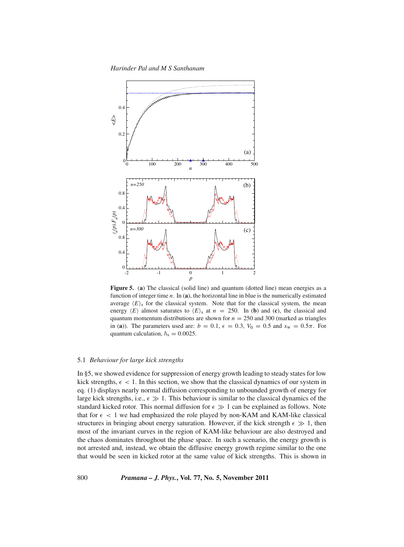*Harinder Pal and M S Santhanam*



**Figure 5.** (**a**) The classical (solid line) and quantum (dotted line) mean energies as a function of integer time *n*. In (**a**), the horizontal line in blue is the numerically estimated average  $\langle E \rangle$ <sub>s</sub> for the classical system. Note that for the classical system, the mean energy  $\langle E \rangle$  almost saturates to  $\langle E \rangle$  at  $n = 250$ . In (**b**) and (**c**), the classical and quantum momentum distributions are shown for  $n = 250$  and 300 (marked as triangles in (**a**)). The parameters used are:  $b = 0.1$ ,  $\epsilon = 0.3$ ,  $V_0 = 0.5$  and  $x_w = 0.5\pi$ . For quantum calculation,  $\hbar$ <sub>s</sub> = 0.0025.

#### 5.1 *Behaviour for large kick strengths*

In §5, we showed evidence for suppression of energy growth leading to steady states for low kick strengths,  $\epsilon$  < 1. In this section, we show that the classical dynamics of our system in eq. (1) displays nearly normal diffusion corresponding to unbounded growth of energy for large kick strengths, i.e.,  $\epsilon \gg 1$ . This behaviour is similar to the classical dynamics of the standard kicked rotor. This normal diffusion for  $\epsilon \gg 1$  can be explained as follows. Note that for  $\epsilon$  < 1 we had emphasized the role played by non-KAM and KAM-like classical structures in bringing about energy saturation. However, if the kick strength  $\epsilon \gg 1$ , then most of the invariant curves in the region of KAM-like behaviour are also destroyed and the chaos dominates throughout the phase space. In such a scenario, the energy growth is not arrested and, instead, we obtain the diffusive energy growth regime similar to the one that would be seen in kicked rotor at the same value of kick strengths. This is shown in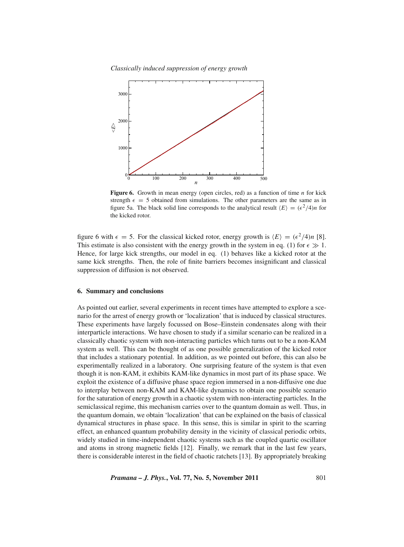*Classically induced suppression of energy growth*



**Figure 6.** Growth in mean energy (open circles, red) as a function of time *n* for kick strength  $\epsilon = 5$  obtained from simulations. The other parameters are the same as in figure 5a. The black solid line corresponds to the analytical result  $\langle E \rangle = (\epsilon^2/4)n$  for the kicked rotor.

figure 6 with  $\epsilon = 5$ . For the classical kicked rotor, energy growth is  $\langle E \rangle = (\epsilon^2/4)n$  [8]. This estimate is also consistent with the energy growth in the system in eq. (1) for  $\epsilon \gg 1$ . Hence, for large kick strengths, our model in eq. (1) behaves like a kicked rotor at the same kick strengths. Then, the role of finite barriers becomes insignificant and classical suppression of diffusion is not observed.

#### **6. Summary and conclusions**

As pointed out earlier, several experiments in recent times have attempted to explore a scenario for the arrest of energy growth or 'localization' that is induced by classical structures. These experiments have largely focussed on Bose–Einstein condensates along with their interparticle interactions. We have chosen to study if a similar scenario can be realized in a classically chaotic system with non-interacting particles which turns out to be a non-KAM system as well. This can be thought of as one possible generalization of the kicked rotor that includes a stationary potential. In addition, as we pointed out before, this can also be experimentally realized in a laboratory. One surprising feature of the system is that even though it is non-KAM, it exhibits KAM-like dynamics in most part of its phase space. We exploit the existence of a diffusive phase space region immersed in a non-diffusive one due to interplay between non-KAM and KAM-like dynamics to obtain one possible scenario for the saturation of energy growth in a chaotic system with non-interacting particles. In the semiclassical regime, this mechanism carries over to the quantum domain as well. Thus, in the quantum domain, we obtain 'localization' that can be explained on the basis of classical dynamical structures in phase space. In this sense, this is similar in spirit to the scarring effect, an enhanced quantum probability density in the vicinity of classical periodic orbits, widely studied in time-independent chaotic systems such as the coupled quartic oscillator and atoms in strong magnetic fields [12]. Finally, we remark that in the last few years, there is considerable interest in the field of chaotic ratchets [13]. By appropriately breaking